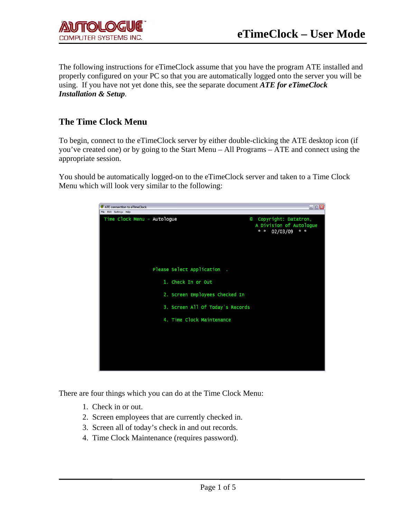The following instructions for eTimeClock assume that you have the program ATE installed and properly configured on your PC so that you are automatically logged onto the server you will be using. If you have not yet done this, see the separate document *ATE for eTimeClock Installation & Setup.*

### **The Time Clock Menu**

To begin, connect to the eTimeClock server by either double-clicking the ATE desktop icon (if you've created one) or by going to the Start Menu – All Programs – ATE and connect using the appropriate session.

You should be automatically logged-on to the eTimeClock server and taken to a Time Clock Menu which will look very similar to the following:

| ATE connection to eTimeClock                                                                               | $ \Box$ $\times$ |
|------------------------------------------------------------------------------------------------------------|------------------|
| File Edit Settings Help                                                                                    |                  |
| Time Clock Menu - Autologue<br>Copyright: Datatron,<br>Θ<br>A Division of Autologue<br>02/03/09<br>$x - x$ | $\pi - \pi$      |
| Please Select Application.                                                                                 |                  |
| 1. Check In or Out                                                                                         |                  |
| 2. Screen Employees Checked In                                                                             |                  |
| 3. Screen All Of Today's Records                                                                           |                  |
| 4. Time Clock Maintenance                                                                                  |                  |
|                                                                                                            |                  |
|                                                                                                            |                  |
|                                                                                                            |                  |

There are four things which you can do at the Time Clock Menu:

- 1. Check in or out.
- 2. Screen employees that are currently checked in.
- 3. Screen all of today's check in and out records.
- 4. Time Clock Maintenance (requires password).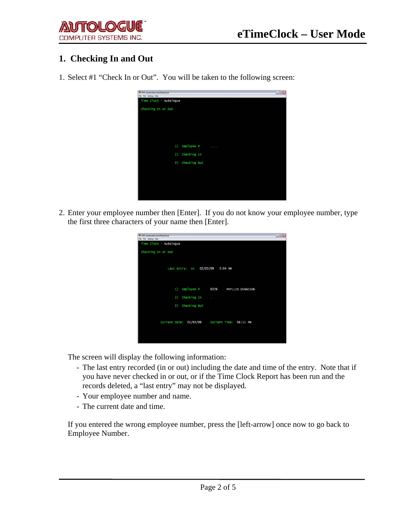

# **1. Checking In and Out**

1. Select #1 "Check In or Out". You will be taken to the following screen:



2. Enter your employee number then [Enter]. If you do not know your employee number, type the first three characters of your name then [Enter].

| ATE connection to eTimeClock                   | $\Box$ $\Box$ $\times$ |
|------------------------------------------------|------------------------|
| File Edit Settings Help                        |                        |
| Time Clock - Autologue                         |                        |
| Checking In or Out                             |                        |
|                                                |                        |
| Last Entry: In 02/03/09 5:04 PM                |                        |
|                                                |                        |
|                                                |                        |
| 1)<br>$Emplove$ #<br>0226<br>PHYLLIS DENNISON  |                        |
| Checking In<br>2)                              |                        |
| ÷                                              |                        |
| Checking Out<br>3)                             |                        |
|                                                |                        |
|                                                |                        |
| Current Date: 02/03/09  Current Time: 06:11 PM |                        |
|                                                |                        |
|                                                |                        |
|                                                |                        |

The screen will display the following information:

- The last entry recorded (in or out) including the date and time of the entry. Note that if you have never checked in or out, or if the Time Clock Report has been run and the records deleted, a "last entry" may not be displayed.
- Your employee number and name.
- The current date and time.

If you entered the wrong employee number, press the [left-arrow] once now to go back to Employee Number.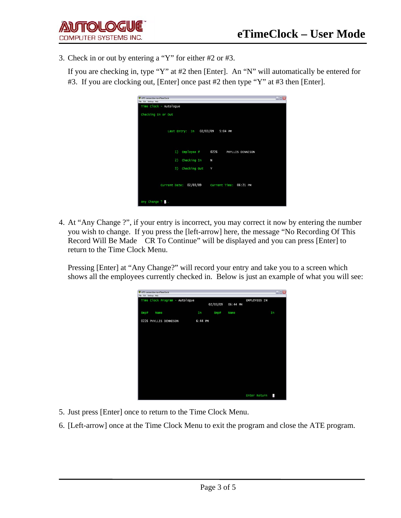3. Check in or out by entering a "Y" for either #2 or #3.

 If you are checking in, type "Y" at #2 then [Enter]. An "N" will automatically be entered for #3. If you are clocking out, [Enter] once past #2 then type "Y" at #3 then [Enter].

| ATE connection to eTimeClock<br>File Edit Settings Help | $\blacksquare \blacksquare \boxtimes$ |
|---------------------------------------------------------|---------------------------------------|
| Time Clock - Autologue                                  |                                       |
| Checking In or Out                                      |                                       |
| Last Entry: In                                          | 02/03/09 5:04 PM                      |
| 1)<br>Employee #                                        | 0226<br>PHYLLIS DENNISON              |
| Checking In<br>2)                                       | N                                     |
| 3)<br>Checking Out                                      | Y                                     |
| Current Date: 02/03/09  Current Time: 06:21 PM          |                                       |
| Any Change ?                                            |                                       |

4. At "Any Change ?", if your entry is incorrect, you may correct it now by entering the number you wish to change. If you press the [left-arrow] here, the message "No Recording Of This Record Will Be Made CR To Continue" will be displayed and you can press [Enter] to return to the Time Clock Menu.

Pressing [Enter] at "Any Change?" will record your entry and take you to a screen which shows all the employees currently checked in. Below is just an example of what you will see:

|                         | ATE connection to eTimeClock |                                |         |          |          |                     | $\blacksquare$ $\blacksquare$ $\times$ |
|-------------------------|------------------------------|--------------------------------|---------|----------|----------|---------------------|----------------------------------------|
| File Edit Settings Help |                              |                                |         |          |          |                     |                                        |
|                         |                              | Time Clock Program - Autologue |         | 02/03/09 | 06:44 PM | <b>EMPLOYEES IN</b> |                                        |
| Emp#                    | Name                         |                                | In      | Emp#     | Name     |                     | In                                     |
|                         |                              | 0226 PHYLLIS DENNISON          | 6:44 PM |          |          |                     |                                        |
|                         |                              |                                |         |          |          |                     |                                        |
|                         |                              |                                |         |          |          |                     |                                        |
|                         |                              |                                |         |          |          |                     |                                        |
|                         |                              |                                |         |          |          |                     |                                        |
|                         |                              |                                |         |          |          |                     |                                        |
|                         |                              |                                |         |          |          |                     |                                        |
|                         |                              |                                |         |          |          |                     |                                        |
|                         |                              |                                |         |          |          | Enter Return        | ×,                                     |

- 5. Just press [Enter] once to return to the Time Clock Menu.
- 6. [Left-arrow] once at the Time Clock Menu to exit the program and close the ATE program.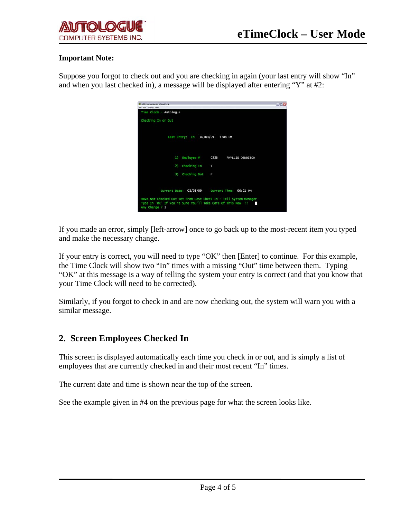

#### **Important Note:**

Suppose you forgot to check out and you are checking in again (your last entry will show "In" and when you last checked in), a message will be displayed after entering "Y" at #2:

| ATE connection to eTimeClock                                                                                                                       | こ回× |
|----------------------------------------------------------------------------------------------------------------------------------------------------|-----|
| File Edit Settings Help                                                                                                                            |     |
| Time Clock - Autologue                                                                                                                             |     |
| Checking In or Out                                                                                                                                 |     |
| 02/03/09 5:04 PM<br>Last Entry: In                                                                                                                 |     |
| Emplove<br>$_{1}$<br>0226<br>PHYLLIS DENNISON                                                                                                      |     |
| Checking In<br>2)<br>Y                                                                                                                             |     |
| 3)<br>Checking Out<br>N                                                                                                                            |     |
| Current Date: 02/03/09 Current Time: 06:21 PM                                                                                                      |     |
| Have Not Checked Out Yet From Last Check In - Tell System Manager<br>Type In 'OK' If You're Sure You'll Take Care Of This Now !!<br>Any Change ? 2 |     |

If you made an error, simply [left-arrow] once to go back up to the most-recent item you typed and make the necessary change.

If your entry is correct, you will need to type "OK" then [Enter] to continue. For this example, the Time Clock will show two "In" times with a missing "Out" time between them. Typing "OK" at this message is a way of telling the system your entry is correct (and that you know that your Time Clock will need to be corrected).

Similarly, if you forgot to check in and are now checking out, the system will warn you with a similar message.

### **2. Screen Employees Checked In**

This screen is displayed automatically each time you check in or out, and is simply a list of employees that are currently checked in and their most recent "In" times.

The current date and time is shown near the top of the screen.

See the example given in #4 on the previous page for what the screen looks like.